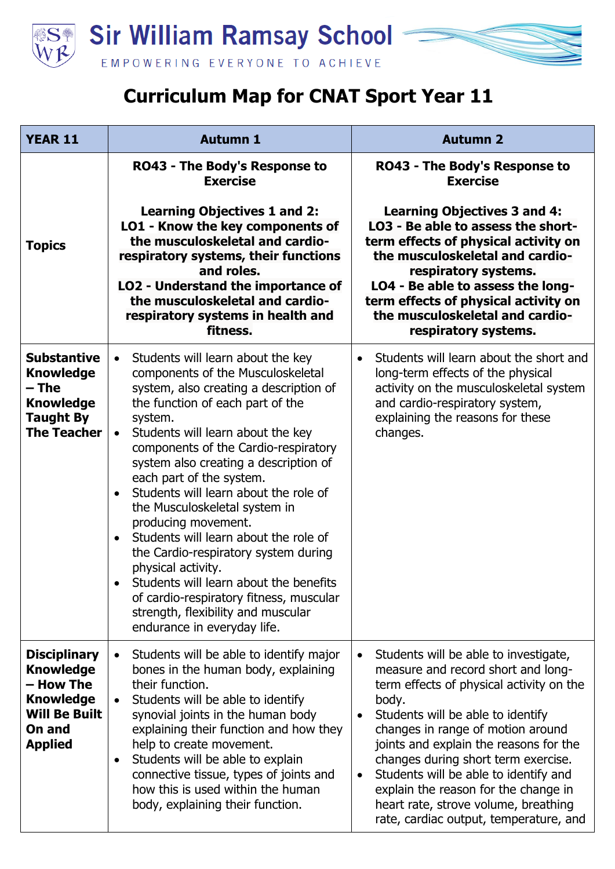

## **Curriculum Map for CNAT Sport Year 11**

| <b>YEAR 11</b>                                                                                                               | <b>Autumn 1</b>                                                                                                                                                                                                                                                                                                                                                                                                                                                                                                                                                                                                                                                                                                                         | <b>Autumn 2</b>                                                                                                                                                                                                                                                                                                                                                                                                                                                                                       |
|------------------------------------------------------------------------------------------------------------------------------|-----------------------------------------------------------------------------------------------------------------------------------------------------------------------------------------------------------------------------------------------------------------------------------------------------------------------------------------------------------------------------------------------------------------------------------------------------------------------------------------------------------------------------------------------------------------------------------------------------------------------------------------------------------------------------------------------------------------------------------------|-------------------------------------------------------------------------------------------------------------------------------------------------------------------------------------------------------------------------------------------------------------------------------------------------------------------------------------------------------------------------------------------------------------------------------------------------------------------------------------------------------|
| <b>Topics</b>                                                                                                                | <b>RO43 - The Body's Response to</b><br><b>Exercise</b><br><b>Learning Objectives 1 and 2:</b><br>LO1 - Know the key components of<br>the musculoskeletal and cardio-<br>respiratory systems, their functions<br>and roles.<br>LO2 - Understand the importance of<br>the musculoskeletal and cardio-<br>respiratory systems in health and<br>fitness.                                                                                                                                                                                                                                                                                                                                                                                   | <b>RO43 - The Body's Response to</b><br><b>Exercise</b><br><b>Learning Objectives 3 and 4:</b><br>LO3 - Be able to assess the short-<br>term effects of physical activity on<br>the musculoskeletal and cardio-<br>respiratory systems.<br>LO4 - Be able to assess the long-<br>term effects of physical activity on<br>the musculoskeletal and cardio-<br>respiratory systems.                                                                                                                       |
| <b>Substantive</b><br><b>Knowledge</b><br>– The<br><b>Knowledge</b><br><b>Taught By</b><br><b>The Teacher</b>                | Students will learn about the key<br>$\bullet$<br>components of the Musculoskeletal<br>system, also creating a description of<br>the function of each part of the<br>system.<br>Students will learn about the key<br>$\bullet$<br>components of the Cardio-respiratory<br>system also creating a description of<br>each part of the system.<br>Students will learn about the role of<br>$\bullet$<br>the Musculoskeletal system in<br>producing movement.<br>Students will learn about the role of<br>$\bullet$<br>the Cardio-respiratory system during<br>physical activity.<br>Students will learn about the benefits<br>of cardio-respiratory fitness, muscular<br>strength, flexibility and muscular<br>endurance in everyday life. | Students will learn about the short and<br>$\bullet$<br>long-term effects of the physical<br>activity on the musculoskeletal system<br>and cardio-respiratory system,<br>explaining the reasons for these<br>changes.                                                                                                                                                                                                                                                                                 |
| <b>Disciplinary</b><br><b>Knowledge</b><br>- How The<br><b>Knowledge</b><br><b>Will Be Built</b><br>On and<br><b>Applied</b> | Students will be able to identify major<br>$\bullet$<br>bones in the human body, explaining<br>their function.<br>Students will be able to identify<br>$\bullet$<br>synovial joints in the human body<br>explaining their function and how they<br>help to create movement.<br>Students will be able to explain<br>$\bullet$<br>connective tissue, types of joints and<br>how this is used within the human<br>body, explaining their function.                                                                                                                                                                                                                                                                                         | Students will be able to investigate,<br>$\bullet$<br>measure and record short and long-<br>term effects of physical activity on the<br>body.<br>Students will be able to identify<br>$\bullet$<br>changes in range of motion around<br>joints and explain the reasons for the<br>changes during short term exercise.<br>Students will be able to identify and<br>$\bullet$<br>explain the reason for the change in<br>heart rate, strove volume, breathing<br>rate, cardiac output, temperature, and |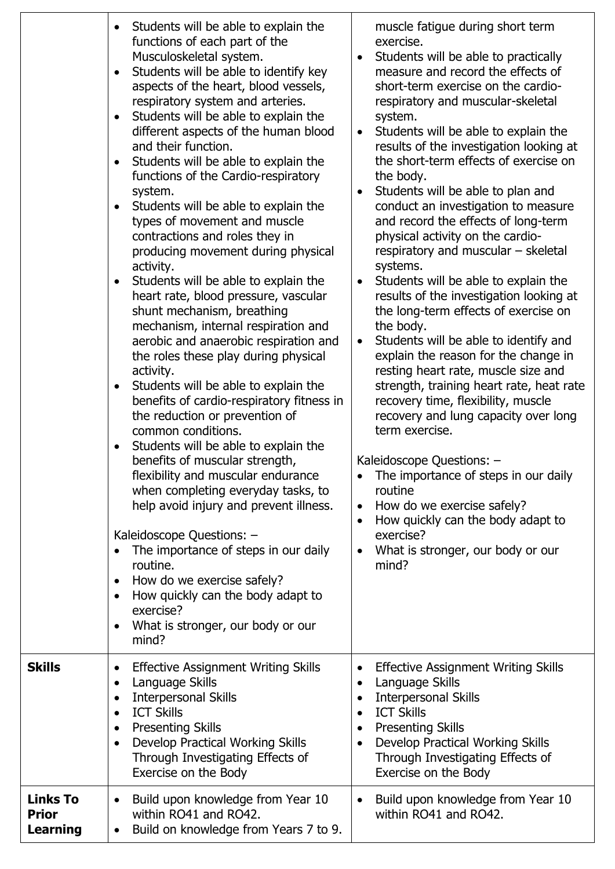|                               | Students will be able to explain the<br>$\bullet$<br>functions of each part of the<br>Musculoskeletal system.<br>Students will be able to identify key<br>$\bullet$<br>aspects of the heart, blood vessels,<br>respiratory system and arteries.<br>Students will be able to explain the<br>$\bullet$<br>different aspects of the human blood<br>and their function.<br>Students will be able to explain the<br>$\bullet$<br>functions of the Cardio-respiratory<br>system.<br>Students will be able to explain the<br>$\bullet$<br>types of movement and muscle<br>contractions and roles they in<br>producing movement during physical<br>activity.<br>Students will be able to explain the<br>$\bullet$<br>heart rate, blood pressure, vascular<br>shunt mechanism, breathing<br>mechanism, internal respiration and<br>aerobic and anaerobic respiration and<br>the roles these play during physical<br>activity.<br>Students will be able to explain the<br>$\bullet$<br>benefits of cardio-respiratory fitness in<br>the reduction or prevention of<br>common conditions.<br>Students will be able to explain the<br>$\bullet$<br>benefits of muscular strength,<br>flexibility and muscular endurance<br>when completing everyday tasks, to<br>help avoid injury and prevent illness.<br>Kaleidoscope Questions: -<br>The importance of steps in our daily<br>$\bullet$<br>routine.<br>How do we exercise safely?<br>$\bullet$<br>How quickly can the body adapt to<br>$\bullet$<br>exercise?<br>What is stronger, our body or our<br>$\bullet$<br>mind? | muscle fatigue during short term<br>exercise.<br>Students will be able to practically<br>$\bullet$<br>measure and record the effects of<br>short-term exercise on the cardio-<br>respiratory and muscular-skeletal<br>system.<br>Students will be able to explain the<br>$\bullet$<br>results of the investigation looking at<br>the short-term effects of exercise on<br>the body.<br>Students will be able to plan and<br>conduct an investigation to measure<br>and record the effects of long-term<br>physical activity on the cardio-<br>respiratory and muscular - skeletal<br>systems.<br>Students will be able to explain the<br>results of the investigation looking at<br>the long-term effects of exercise on<br>the body.<br>Students will be able to identify and<br>$\bullet$<br>explain the reason for the change in<br>resting heart rate, muscle size and<br>strength, training heart rate, heat rate<br>recovery time, flexibility, muscle<br>recovery and lung capacity over long<br>term exercise.<br>Kaleidoscope Questions: -<br>The importance of steps in our daily<br>routine<br>How do we exercise safely?<br>$\bullet$<br>How quickly can the body adapt to<br>exercise?<br>What is stronger, our body or our<br>mind? |
|-------------------------------|----------------------------------------------------------------------------------------------------------------------------------------------------------------------------------------------------------------------------------------------------------------------------------------------------------------------------------------------------------------------------------------------------------------------------------------------------------------------------------------------------------------------------------------------------------------------------------------------------------------------------------------------------------------------------------------------------------------------------------------------------------------------------------------------------------------------------------------------------------------------------------------------------------------------------------------------------------------------------------------------------------------------------------------------------------------------------------------------------------------------------------------------------------------------------------------------------------------------------------------------------------------------------------------------------------------------------------------------------------------------------------------------------------------------------------------------------------------------------------------------------------------------------------------------------------------|---------------------------------------------------------------------------------------------------------------------------------------------------------------------------------------------------------------------------------------------------------------------------------------------------------------------------------------------------------------------------------------------------------------------------------------------------------------------------------------------------------------------------------------------------------------------------------------------------------------------------------------------------------------------------------------------------------------------------------------------------------------------------------------------------------------------------------------------------------------------------------------------------------------------------------------------------------------------------------------------------------------------------------------------------------------------------------------------------------------------------------------------------------------------------------------------------------------------------------------------------|
| Skills                        | <b>Effective Assignment Writing Skills</b><br>$\bullet$<br>Language Skills<br>$\bullet$<br><b>Interpersonal Skills</b><br>$\bullet$<br><b>ICT Skills</b><br>$\bullet$<br><b>Presenting Skills</b><br>$\bullet$<br>Develop Practical Working Skills<br>$\bullet$<br>Through Investigating Effects of<br>Exercise on the Body                                                                                                                                                                                                                                                                                                                                                                                                                                                                                                                                                                                                                                                                                                                                                                                                                                                                                                                                                                                                                                                                                                                                                                                                                                    | <b>Effective Assignment Writing Skills</b><br>Language Skills<br>$\bullet$<br><b>Interpersonal Skills</b><br>$\bullet$<br><b>ICT Skills</b><br>$\bullet$<br><b>Presenting Skills</b><br>$\bullet$<br>Develop Practical Working Skills<br>$\bullet$<br>Through Investigating Effects of<br>Exercise on the Body                                                                                                                                                                                                                                                                                                                                                                                                                                                                                                                                                                                                                                                                                                                                                                                                                                                                                                                                    |
| Links To<br>Prior<br>Learning | Build upon knowledge from Year 10<br>$\bullet$<br>within RO41 and RO42.<br>Build on knowledge from Years 7 to 9.<br>$\bullet$                                                                                                                                                                                                                                                                                                                                                                                                                                                                                                                                                                                                                                                                                                                                                                                                                                                                                                                                                                                                                                                                                                                                                                                                                                                                                                                                                                                                                                  | Build upon knowledge from Year 10<br>$\bullet$<br>within RO41 and RO42.                                                                                                                                                                                                                                                                                                                                                                                                                                                                                                                                                                                                                                                                                                                                                                                                                                                                                                                                                                                                                                                                                                                                                                           |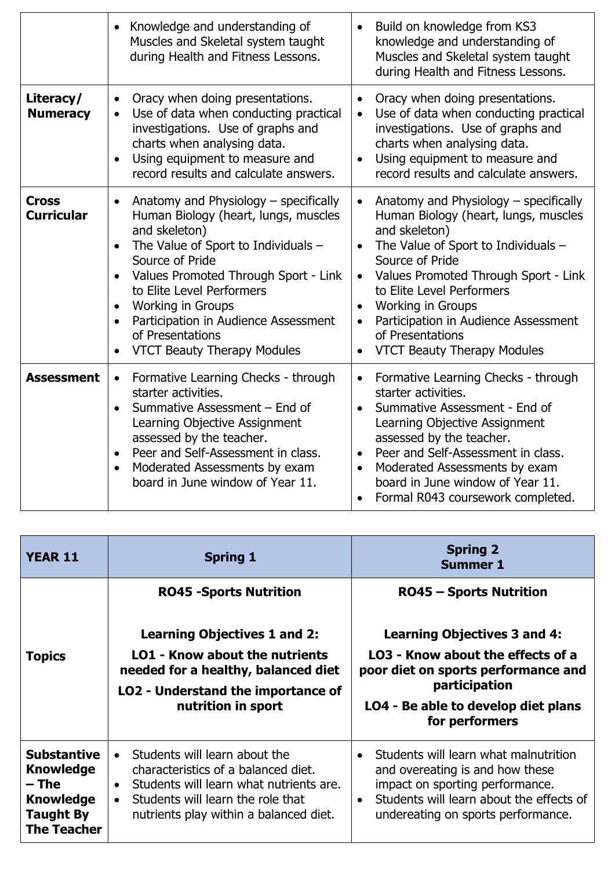|                                   | Knowledge and understanding of<br>$\bullet$<br>Muscles and Skeletal system taught<br>during Health and Fitness Lessons.                                                                                                                                                                                                                                                                                                            | Build on knowledge from KS3<br>$\bullet$<br>knowledge and understanding of<br>Muscles and Skeletal system taught<br>during Health and Fitness Lessons.                                                                                                                                                                                                                                                                                    |
|-----------------------------------|------------------------------------------------------------------------------------------------------------------------------------------------------------------------------------------------------------------------------------------------------------------------------------------------------------------------------------------------------------------------------------------------------------------------------------|-------------------------------------------------------------------------------------------------------------------------------------------------------------------------------------------------------------------------------------------------------------------------------------------------------------------------------------------------------------------------------------------------------------------------------------------|
| Literacy/<br><b>Numeracy</b>      | Oracy when doing presentations.<br>$\bullet$<br>Use of data when conducting practical<br>$\bullet$<br>investigations. Use of graphs and<br>charts when analysing data.<br>Using equipment to measure and<br>$\bullet$<br>record results and calculate answers.                                                                                                                                                                     | Oracy when doing presentations.<br>$\bullet$<br>Use of data when conducting practical<br>$\bullet$<br>investigations. Use of graphs and<br>charts when analysing data.<br>Using equipment to measure and<br>$\bullet$<br>record results and calculate answers.                                                                                                                                                                            |
| <b>Cross</b><br><b>Curricular</b> | Anatomy and Physiology - specifically<br>$\bullet$<br>Human Biology (heart, lungs, muscles<br>and skeleton)<br>The Value of Sport to Individuals -<br>$\bullet$<br>Source of Pride<br>Values Promoted Through Sport - Link<br>$\bullet$<br>to Elite Level Performers<br>Working in Groups<br>$\bullet$<br>Participation in Audience Assessment<br>$\bullet$<br>of Presentations<br><b>VTCT Beauty Therapy Modules</b><br>$\bullet$ | Anatomy and Physiology - specifically<br>$\bullet$<br>Human Biology (heart, lungs, muscles<br>and skeleton)<br>The Value of Sport to Individuals -<br>$\bullet$<br>Source of Pride<br>Values Promoted Through Sport - Link<br>$\bullet$<br>to Elite Level Performers<br><b>Working in Groups</b><br>$\bullet$<br>Participation in Audience Assessment<br>$\bullet$<br>of Presentations<br><b>VTCT Beauty Therapy Modules</b><br>$\bullet$ |
| <b>Assessment</b>                 | Formative Learning Checks - through<br>$\bullet$<br>starter activities.<br>Summative Assessment - End of<br>Learning Objective Assignment<br>assessed by the teacher.<br>Peer and Self-Assessment in class.<br>$\bullet$<br>Moderated Assessments by exam<br>$\bullet$<br>board in June window of Year 11.                                                                                                                         | Formative Learning Checks - through<br>$\bullet$<br>starter activities.<br>Summative Assessment - End of<br>Learning Objective Assignment<br>assessed by the teacher.<br>Peer and Self-Assessment in class.<br>$\bullet$<br>Moderated Assessments by exam<br>board in June window of Year 11.<br>Formal R043 coursework completed.                                                                                                        |

| <b>YEAR 11</b>                                                                                                | <b>Spring 1</b>                                                                                                                                                                                                                       | <b>Spring 2</b><br><b>Summer 1</b>                                                                                                                                                                                      |
|---------------------------------------------------------------------------------------------------------------|---------------------------------------------------------------------------------------------------------------------------------------------------------------------------------------------------------------------------------------|-------------------------------------------------------------------------------------------------------------------------------------------------------------------------------------------------------------------------|
|                                                                                                               | <b>RO45 -Sports Nutrition</b>                                                                                                                                                                                                         | <b>RO45 - Sports Nutrition</b>                                                                                                                                                                                          |
|                                                                                                               | <b>Learning Objectives 1 and 2:</b>                                                                                                                                                                                                   | <b>Learning Objectives 3 and 4:</b>                                                                                                                                                                                     |
| <b>Topics</b>                                                                                                 | LO1 - Know about the nutrients<br>needed for a healthy, balanced diet<br>LO2 - Understand the importance of<br>nutrition in sport                                                                                                     | LO3 - Know about the effects of a<br>poor diet on sports performance and<br>participation<br>LO4 - Be able to develop diet plans<br>for performers                                                                      |
| <b>Substantive</b><br><b>Knowledge</b><br>– The<br><b>Knowledge</b><br><b>Taught By</b><br><b>The Teacher</b> | Students will learn about the<br>$\bullet$<br>characteristics of a balanced diet.<br>Students will learn what nutrients are.<br>$\bullet$<br>Students will learn the role that<br>$\bullet$<br>nutrients play within a balanced diet. | Students will learn what malnutrition<br>$\bullet$<br>and overeating is and how these<br>impact on sporting performance.<br>Students will learn about the effects of<br>$\bullet$<br>undereating on sports performance. |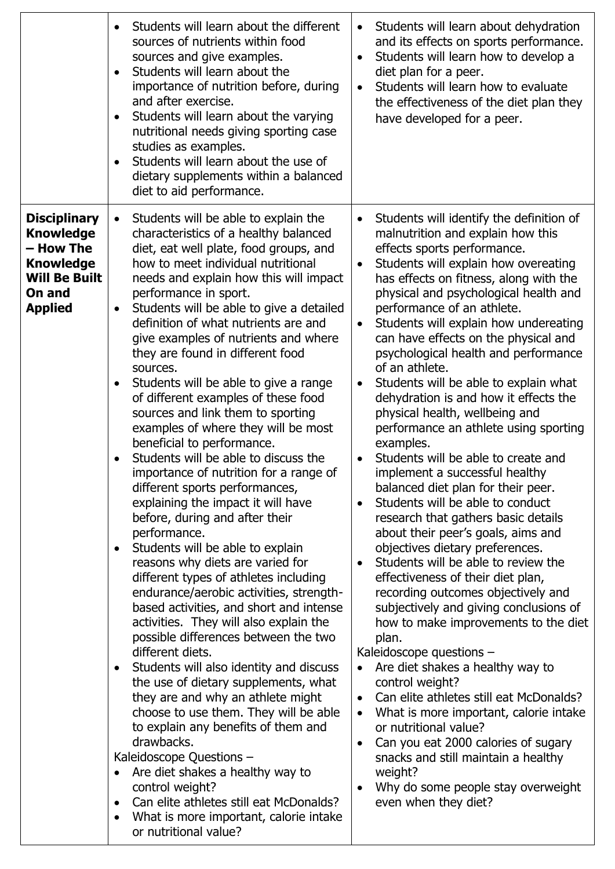|                                                                                                                              | Students will learn about the different<br>$\bullet$<br>sources of nutrients within food<br>sources and give examples.<br>Students will learn about the<br>importance of nutrition before, during<br>and after exercise.<br>Students will learn about the varying<br>$\bullet$<br>nutritional needs giving sporting case<br>studies as examples.<br>Students will learn about the use of<br>$\bullet$<br>dietary supplements within a balanced<br>diet to aid performance.                                                                                                                                                                                                                                                                                                                                                                                                                                                                                                                                                                                                                                                                                                                                                                                                                                                                                                                                                                                                                                                                                                                                                                                     | Students will learn about dehydration<br>$\bullet$<br>and its effects on sports performance.<br>Students will learn how to develop a<br>$\bullet$<br>diet plan for a peer.<br>Students will learn how to evaluate<br>$\bullet$<br>the effectiveness of the diet plan they<br>have developed for a peer.                                                                                                                                                                                                                                                                                                                                                                                                                                                                                                                                                                                                                                                                                                                                                                                                                                                                                                                                                                                                                                                                                                                                                                                                                                                                                        |
|------------------------------------------------------------------------------------------------------------------------------|----------------------------------------------------------------------------------------------------------------------------------------------------------------------------------------------------------------------------------------------------------------------------------------------------------------------------------------------------------------------------------------------------------------------------------------------------------------------------------------------------------------------------------------------------------------------------------------------------------------------------------------------------------------------------------------------------------------------------------------------------------------------------------------------------------------------------------------------------------------------------------------------------------------------------------------------------------------------------------------------------------------------------------------------------------------------------------------------------------------------------------------------------------------------------------------------------------------------------------------------------------------------------------------------------------------------------------------------------------------------------------------------------------------------------------------------------------------------------------------------------------------------------------------------------------------------------------------------------------------------------------------------------------------|------------------------------------------------------------------------------------------------------------------------------------------------------------------------------------------------------------------------------------------------------------------------------------------------------------------------------------------------------------------------------------------------------------------------------------------------------------------------------------------------------------------------------------------------------------------------------------------------------------------------------------------------------------------------------------------------------------------------------------------------------------------------------------------------------------------------------------------------------------------------------------------------------------------------------------------------------------------------------------------------------------------------------------------------------------------------------------------------------------------------------------------------------------------------------------------------------------------------------------------------------------------------------------------------------------------------------------------------------------------------------------------------------------------------------------------------------------------------------------------------------------------------------------------------------------------------------------------------|
| <b>Disciplinary</b><br><b>Knowledge</b><br>– How The<br><b>Knowledge</b><br><b>Will Be Built</b><br>On and<br><b>Applied</b> | Students will be able to explain the<br>$\bullet$<br>characteristics of a healthy balanced<br>diet, eat well plate, food groups, and<br>how to meet individual nutritional<br>needs and explain how this will impact<br>performance in sport.<br>Students will be able to give a detailed<br>$\bullet$<br>definition of what nutrients are and<br>give examples of nutrients and where<br>they are found in different food<br>sources.<br>Students will be able to give a range<br>$\bullet$<br>of different examples of these food<br>sources and link them to sporting<br>examples of where they will be most<br>beneficial to performance.<br>Students will be able to discuss the<br>importance of nutrition for a range of<br>different sports performances,<br>explaining the impact it will have<br>before, during and after their<br>performance.<br>Students will be able to explain<br>$\bullet$<br>reasons why diets are varied for<br>different types of athletes including<br>endurance/aerobic activities, strength-<br>based activities, and short and intense<br>activities. They will also explain the<br>possible differences between the two<br>different diets.<br>Students will also identity and discuss<br>$\bullet$<br>the use of dietary supplements, what<br>they are and why an athlete might<br>choose to use them. They will be able<br>to explain any benefits of them and<br>drawbacks.<br>Kaleidoscope Questions -<br>Are diet shakes a healthy way to<br>$\bullet$<br>control weight?<br>Can elite athletes still eat McDonalds?<br>$\bullet$<br>What is more important, calorie intake<br>$\bullet$<br>or nutritional value? | Students will identify the definition of<br>$\bullet$<br>malnutrition and explain how this<br>effects sports performance.<br>Students will explain how overeating<br>$\bullet$<br>has effects on fitness, along with the<br>physical and psychological health and<br>performance of an athlete.<br>Students will explain how undereating<br>$\bullet$<br>can have effects on the physical and<br>psychological health and performance<br>of an athlete.<br>Students will be able to explain what<br>$\bullet$<br>dehydration is and how it effects the<br>physical health, wellbeing and<br>performance an athlete using sporting<br>examples.<br>Students will be able to create and<br>$\bullet$<br>implement a successful healthy<br>balanced diet plan for their peer.<br>Students will be able to conduct<br>$\bullet$<br>research that gathers basic details<br>about their peer's goals, aims and<br>objectives dietary preferences.<br>Students will be able to review the<br>$\bullet$<br>effectiveness of their diet plan,<br>recording outcomes objectively and<br>subjectively and giving conclusions of<br>how to make improvements to the diet<br>plan.<br>Kaleidoscope questions -<br>Are diet shakes a healthy way to<br>$\bullet$<br>control weight?<br>Can elite athletes still eat McDonalds?<br>$\bullet$<br>What is more important, calorie intake<br>$\bullet$<br>or nutritional value?<br>Can you eat 2000 calories of sugary<br>$\bullet$<br>snacks and still maintain a healthy<br>weight?<br>Why do some people stay overweight<br>$\bullet$<br>even when they diet? |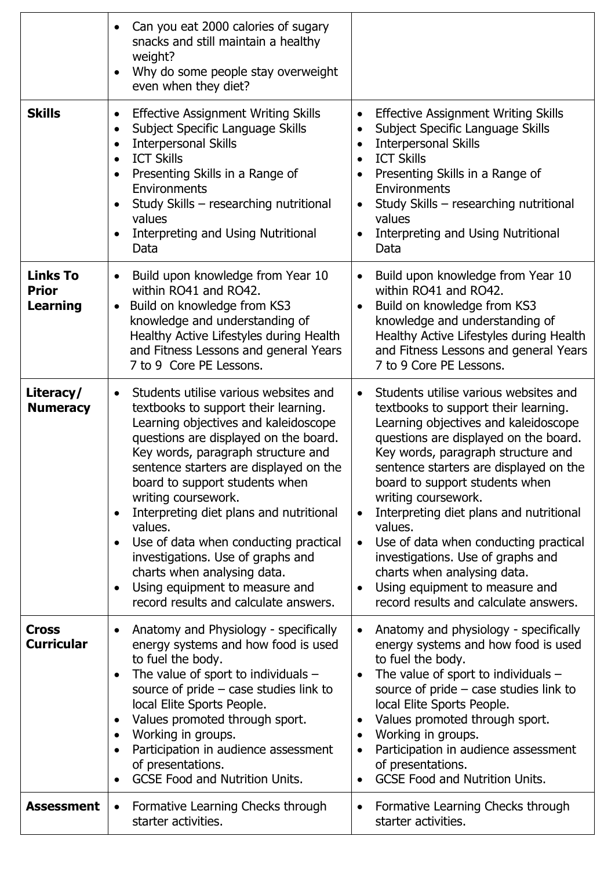|                                                    | Can you eat 2000 calories of sugary<br>$\bullet$<br>snacks and still maintain a healthy<br>weight?<br>Why do some people stay overweight<br>$\bullet$<br>even when they diet?                                                                                                                                                                                                                                                                                                                                                                                                                             |                                                                                                                                                                                                                                                                                                                                                                                                                                                                                                                                                                                              |
|----------------------------------------------------|-----------------------------------------------------------------------------------------------------------------------------------------------------------------------------------------------------------------------------------------------------------------------------------------------------------------------------------------------------------------------------------------------------------------------------------------------------------------------------------------------------------------------------------------------------------------------------------------------------------|----------------------------------------------------------------------------------------------------------------------------------------------------------------------------------------------------------------------------------------------------------------------------------------------------------------------------------------------------------------------------------------------------------------------------------------------------------------------------------------------------------------------------------------------------------------------------------------------|
| <b>Skills</b>                                      | <b>Effective Assignment Writing Skills</b><br>$\bullet$<br>Subject Specific Language Skills<br>$\bullet$<br><b>Interpersonal Skills</b><br>$\bullet$<br><b>ICT Skills</b><br>$\bullet$<br>Presenting Skills in a Range of<br>$\bullet$<br>Environments<br>Study Skills - researching nutritional<br>values<br>Interpreting and Using Nutritional<br>$\bullet$<br>Data                                                                                                                                                                                                                                     | <b>Effective Assignment Writing Skills</b><br>$\bullet$<br>Subject Specific Language Skills<br><b>Interpersonal Skills</b><br>$\bullet$<br><b>ICT Skills</b><br>$\bullet$<br>Presenting Skills in a Range of<br>Environments<br>Study Skills - researching nutritional<br>$\bullet$<br>values<br>Interpreting and Using Nutritional<br>Data                                                                                                                                                                                                                                                  |
| <b>Links To</b><br><b>Prior</b><br><b>Learning</b> | Build upon knowledge from Year 10<br>$\bullet$<br>within RO41 and RO42.<br>Build on knowledge from KS3<br>$\bullet$<br>knowledge and understanding of<br>Healthy Active Lifestyles during Health<br>and Fitness Lessons and general Years<br>7 to 9 Core PE Lessons.                                                                                                                                                                                                                                                                                                                                      | Build upon knowledge from Year 10<br>within RO41 and RO42.<br>Build on knowledge from KS3<br>$\bullet$<br>knowledge and understanding of<br>Healthy Active Lifestyles during Health<br>and Fitness Lessons and general Years<br>7 to 9 Core PE Lessons.                                                                                                                                                                                                                                                                                                                                      |
| Literacy/<br><b>Numeracy</b>                       | Students utilise various websites and<br>$\bullet$<br>textbooks to support their learning.<br>Learning objectives and kaleidoscope<br>questions are displayed on the board.<br>Key words, paragraph structure and<br>sentence starters are displayed on the<br>board to support students when<br>writing coursework.<br>Interpreting diet plans and nutritional<br>$\bullet$<br>values.<br>Use of data when conducting practical<br>$\bullet$<br>investigations. Use of graphs and<br>charts when analysing data.<br>Using equipment to measure and<br>$\bullet$<br>record results and calculate answers. | Students utilise various websites and<br>$\bullet$<br>textbooks to support their learning.<br>Learning objectives and kaleidoscope<br>questions are displayed on the board.<br>Key words, paragraph structure and<br>sentence starters are displayed on the<br>board to support students when<br>writing coursework.<br>Interpreting diet plans and nutritional<br>$\bullet$<br>values.<br>Use of data when conducting practical<br>$\bullet$<br>investigations. Use of graphs and<br>charts when analysing data.<br>Using equipment to measure and<br>record results and calculate answers. |
| <b>Cross</b><br><b>Curricular</b>                  | Anatomy and Physiology - specifically<br>$\bullet$<br>energy systems and how food is used<br>to fuel the body.<br>The value of sport to individuals $-$<br>$\bullet$<br>source of pride $-$ case studies link to<br>local Elite Sports People.<br>Values promoted through sport.<br>$\bullet$<br>Working in groups.<br>$\bullet$<br>Participation in audience assessment<br>$\bullet$<br>of presentations.<br><b>GCSE Food and Nutrition Units.</b>                                                                                                                                                       | Anatomy and physiology - specifically<br>$\bullet$<br>energy systems and how food is used<br>to fuel the body.<br>The value of sport to individuals $-$<br>source of pride $-$ case studies link to<br>local Elite Sports People.<br>Values promoted through sport.<br>$\bullet$<br>Working in groups.<br>$\bullet$<br>Participation in audience assessment<br>$\bullet$<br>of presentations.<br><b>GCSE Food and Nutrition Units.</b>                                                                                                                                                       |
| <b>Assessment</b>                                  | Formative Learning Checks through<br>$\bullet$<br>starter activities.                                                                                                                                                                                                                                                                                                                                                                                                                                                                                                                                     | Formative Learning Checks through<br>$\bullet$<br>starter activities.                                                                                                                                                                                                                                                                                                                                                                                                                                                                                                                        |